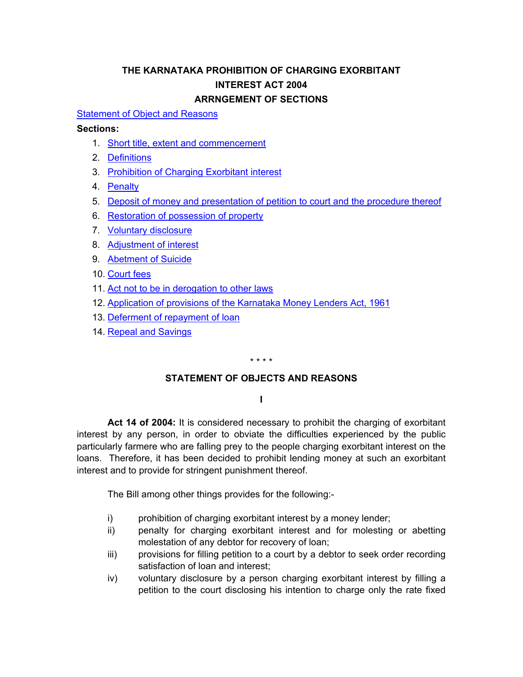# **THE KARNATAKA PROHIBITION OF CHARGING EXORBITANT INTEREST ACT 2004 ARRNGEMENT OF SECTIONS**

#### <span id="page-0-0"></span>[Statement of Object and Reasons](#page-0-0)

#### **Sections:**

- 1. [Short title, extent and commencement](#page-2-0)
- 2. [Definitions](#page-2-0)
- 3. [Prohibition of Charging Exorbitant interest](#page-2-0)
- 4. [Penalty](#page-2-0)
- 5. [Deposit of money and presentation of petition to court and the procedure thereof](#page-2-0)
- 6. [Restoration of possession of property](#page-3-0)
- 7. [Voluntary disclosure](#page-3-0)
- 8. [Adjustment of interest](#page-3-0)
- 9. [Abetment of Suicide](#page-3-0)
- 10. [Court fees](#page-3-0)
- 11. [Act not to be in derogation to other laws](#page-3-0)
- 12. [Application of provisions of the Karnataka Money Lenders Act, 1961](#page-3-0)
- 13. [Deferment of repayment of loan](#page-4-0)
- 14. [Repeal and Savings](#page-4-0)

#### \* \* \* \*

### **STATEMENT OF OBJECTS AND REASONS**

### **I**

 **Act 14 of 2004:** It is considered necessary to prohibit the charging of exorbitant interest by any person, in order to obviate the difficulties experienced by the public particularly farmere who are falling prey to the people charging exorbitant interest on the loans. Therefore, it has been decided to prohibit lending money at such an exorbitant interest and to provide for stringent punishment thereof.

The Bill among other things provides for the following:-

- i) prohibition of charging exorbitant interest by a money lender;
- ii) penalty for charging exorbitant interest and for molesting or abetting molestation of any debtor for recovery of loan;
- iii) provisions for filling petition to a court by a debtor to seek order recording satisfaction of loan and interest;
- iv) voluntary disclosure by a person charging exorbitant interest by filling a petition to the court disclosing his intention to charge only the rate fixed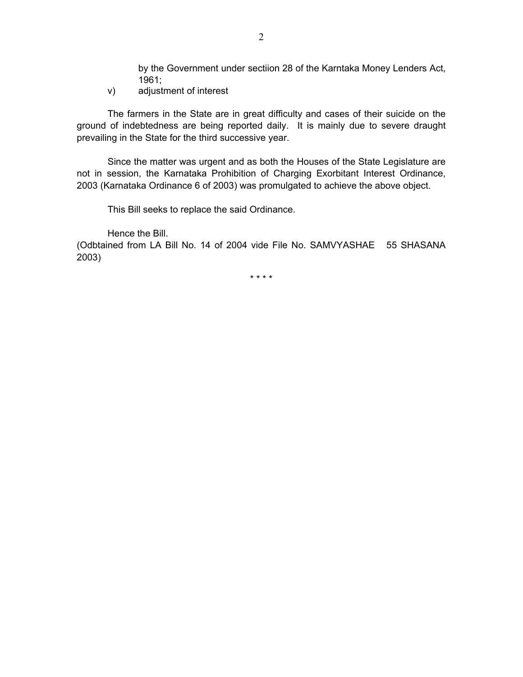by the Government under sectiion 28 of the Karntaka Money Lenders Act, 1961;

v) adjustment of interest

The farmers in the State are in great difficulty and cases of their suicide on the ground of indebtedness are being reported daily. It is mainly due to severe draught prevailing in the State for the third successive year.

Since the matter was urgent and as both the Houses of the State Legislature are not in session, the Karnataka Prohibition of Charging Exorbitant Interest Ordinance, 2003 (Karnataka Ordinance 6 of 2003) was promulgated to achieve the above object.

This Bill seeks to replace the said Ordinance.

Hence the Bill.

(Odbtained from LA Bill No. 14 of 2004 vide File No. SAMVYASHAE 55 SHASANA 2003)

\* \* \* \*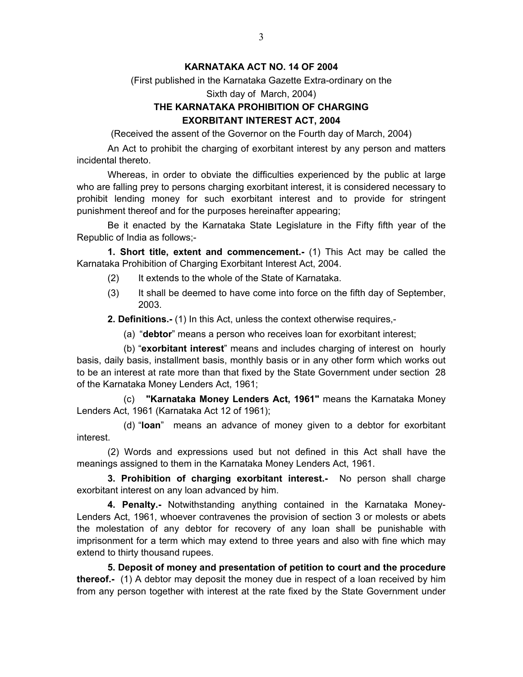### **KARNATAKA ACT NO. 14 OF 2004**

<span id="page-2-0"></span>(First published in the Karnataka Gazette Extra-ordinary on the

Sixth day of March, 2004)

## **THE KARNATAKA PROHIBITION OF CHARGING EXORBITANT INTEREST ACT, 2004**

(Received the assent of the Governor on the Fourth day of March, 2004)

 An Act to prohibit the charging of exorbitant interest by any person and matters incidental thereto.

 Whereas, in order to obviate the difficulties experienced by the public at large who are falling prey to persons charging exorbitant interest, it is considered necessary to prohibit lending money for such exorbitant interest and to provide for stringent punishment thereof and for the purposes hereinafter appearing;

 Be it enacted by the Karnataka State Legislature in the Fifty fifth year of the Republic of India as follows;-

**1. Short title, extent and commencement.-** (1) This Act may be called the Karnataka Prohibition of Charging Exorbitant Interest Act, 2004.

- (2) It extends to the whole of the State of Karnataka.
- (3) It shall be deemed to have come into force on the fifth day of September, 2003.

**2. Definitions.-** (1) In this Act, unless the context otherwise requires,-

(a) "**debtor**" means a person who receives loan for exorbitant interest;

(b) "**exorbitant interest**" means and includes charging of interest on hourly basis, daily basis, installment basis, monthly basis or in any other form which works out to be an interest at rate more than that fixed by the State Government under section 28 of the Karnataka Money Lenders Act, 1961;

(c) **"Karnataka Money Lenders Act, 1961"** means the Karnataka Money Lenders Act, 1961 (Karnataka Act 12 of 1961);

(d) "**loan**" means an advance of money given to a debtor for exorbitant interest.

(2) Words and expressions used but not defined in this Act shall have the meanings assigned to them in the Karnataka Money Lenders Act, 1961.

 **3. Prohibition of charging exorbitant interest.-** No person shall charge exorbitant interest on any loan advanced by him.

**4. Penalty.-** Notwithstanding anything contained in the Karnataka Money-Lenders Act, 1961, whoever contravenes the provision of section 3 or molests or abets the molestation of any debtor for recovery of any loan shall be punishable with imprisonment for a term which may extend to three years and also with fine which may extend to thirty thousand rupees.

**5. Deposit of money and presentation of petition to court and the procedure thereof.-** (1) A debtor may deposit the money due in respect of a loan received by him from any person together with interest at the rate fixed by the State Government under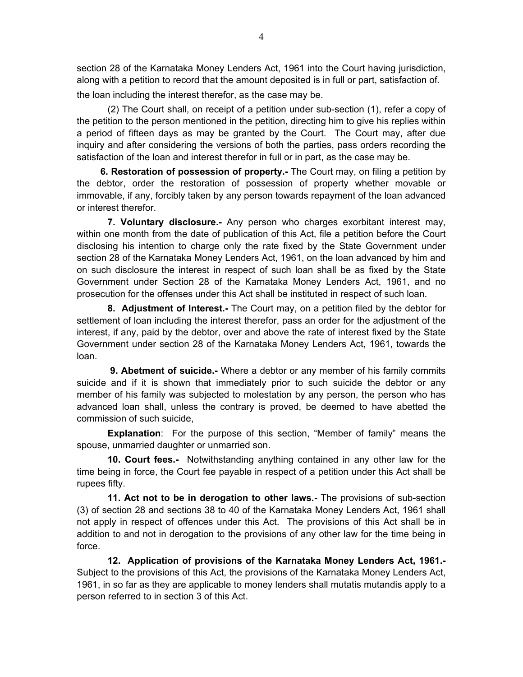<span id="page-3-0"></span>section 28 of the Karnataka Money Lenders Act, 1961 into the Court having jurisdiction, along with a petition to record that the amount deposited is in full or part, satisfaction of.

the loan including the interest therefor, as the case may be.

(2) The Court shall, on receipt of a petition under sub-section (1), refer a copy of the petition to the person mentioned in the petition, directing him to give his replies within a period of fifteen days as may be granted by the Court. The Court may, after due inquiry and after considering the versions of both the parties, pass orders recording the satisfaction of the loan and interest therefor in full or in part, as the case may be.

 **6. Restoration of possession of property.-** The Court may, on filing a petition by the debtor, order the restoration of possession of property whether movable or immovable, if any, forcibly taken by any person towards repayment of the loan advanced or interest therefor.

**7. Voluntary disclosure.-** Any person who charges exorbitant interest may, within one month from the date of publication of this Act, file a petition before the Court disclosing his intention to charge only the rate fixed by the State Government under section 28 of the Karnataka Money Lenders Act, 1961, on the loan advanced by him and on such disclosure the interest in respect of such loan shall be as fixed by the State Government under Section 28 of the Karnataka Money Lenders Act, 1961, and no prosecution for the offenses under this Act shall be instituted in respect of such loan.

**8. Adjustment of Interest.-** The Court may, on a petition filed by the debtor for settlement of loan including the interest therefor, pass an order for the adjustment of the interest, if any, paid by the debtor, over and above the rate of interest fixed by the State Government under section 28 of the Karnataka Money Lenders Act, 1961, towards the loan.

 **9. Abetment of suicide.-** Where a debtor or any member of his family commits suicide and if it is shown that immediately prior to such suicide the debtor or any member of his family was subjected to molestation by any person, the person who has advanced loan shall, unless the contrary is proved, be deemed to have abetted the commission of such suicide,

**Explanation**: For the purpose of this section, "Member of family" means the spouse, unmarried daughter or unmarried son.

**10. Court fees.-** Notwithstanding anything contained in any other law for the time being in force, the Court fee payable in respect of a petition under this Act shall be rupees fifty.

**11. Act not to be in derogation to other laws.-** The provisions of sub-section (3) of section 28 and sections 38 to 40 of the Karnataka Money Lenders Act, 1961 shall not apply in respect of offences under this Act. The provisions of this Act shall be in addition to and not in derogation to the provisions of any other law for the time being in force.

**12. Application of provisions of the Karnataka Money Lenders Act, 1961.-** Subject to the provisions of this Act, the provisions of the Karnataka Money Lenders Act, 1961, in so far as they are applicable to money lenders shall mutatis mutandis apply to a person referred to in section 3 of this Act.